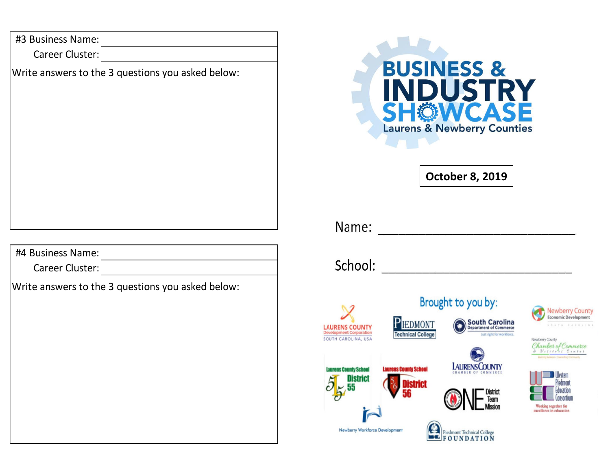#3 Business Name:

Career Cluster:

Write answers to the 3 questions you asked below:

#4 Business Name:

Career Cluster:

Write answers to the 3 questions you asked below: